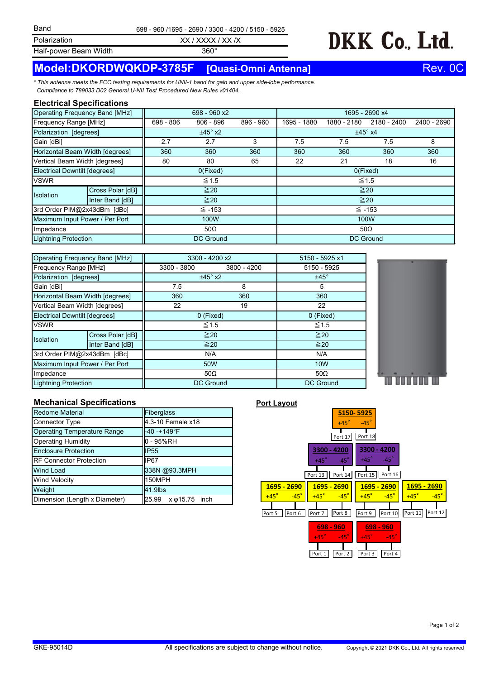**Polarization** 

XX / XXXX / XX /X 698 - 960 /1695 - 2690 / 3300 - 4200 / 5150 - 5925

360°

DKK Co., Ltd.

Half-power Beam Width

# **Model:DKORDWQKDP-3785F [Quasi-Omni Antenna]** Rev. 0C

*\* This antenna meets the FCC testing requirements for UNII-1 band for gain and upper side-lobe performance. Compliance to 789033 D02 General U-NII Test Procedured New Rules v01404.*

### **Electrical Specifications**

| Operating Frequency Band [MHz]  |                  | 698 - 960 x2     |             |           | 1695 - 2690 x4   |             |             |             |
|---------------------------------|------------------|------------------|-------------|-----------|------------------|-------------|-------------|-------------|
| Frequency Range [MHz]           |                  | 698 - 806        | $806 - 896$ | 896 - 960 | 1695 - 1880      | 1880 - 2180 | 2180 - 2400 | 2400 - 2690 |
| Polarization [degrees]          |                  | $±45^\circ$ x2   |             |           | $±45^\circ$ x4   |             |             |             |
| Gain [dBi]                      |                  | 2.7              | 2.7         | 3         | 7.5              | 7.5         | 7.5         | 8           |
| Horizontal Beam Width [degrees] |                  | 360              | 360         | 360       | 360              | 360         | 360         | 360         |
| Vertical Beam Width [degrees]   |                  | 80               | 80          | 65        | 22               | 21          | 18          | 16          |
| Electrical Downtilt [degrees]   |                  | O(Fixed)         |             |           | O(Fixed)         |             |             |             |
| <b>VSWR</b>                     |                  | $\leq 1.5$       |             |           | $\leq 1.5$       |             |             |             |
| <b>Isolation</b>                | Cross Polar [dB] | $\geq 20$        |             |           | $\geq 20$        |             |             |             |
|                                 | Inter Band [dB]  | $\geq 20$        |             |           | $\geq 20$        |             |             |             |
| 3rd Order PIM@2x43dBm [dBc]     |                  | $\leq$ -153      |             |           | $\leq$ -153      |             |             |             |
| Maximum Input Power / Per Port  |                  | 100W             |             |           | 100W             |             |             |             |
| Impedance                       |                  | $50\Omega$       |             |           | 50 $\Omega$      |             |             |             |
| Lightning Protection            |                  | <b>DC Ground</b> |             |           | <b>DC Ground</b> |             |             |             |

| <b>Operating Frequency Band [MHz]</b> |                  | 3300 - 4200 x2   | 5150 - 5925 x1 |                  |  |
|---------------------------------------|------------------|------------------|----------------|------------------|--|
| Frequency Range [MHz]                 |                  | 3300 - 3800      | 3800 - 4200    | 5150 - 5925      |  |
| Polarization [degrees]                |                  | $±45^\circ$ x2   | $±45^\circ$    |                  |  |
| Gain [dBi]                            |                  | 7.5              | 8              | 5                |  |
| Horizontal Beam Width [degrees]       |                  | 360              | 360            | 360              |  |
| Vertical Beam Width [degrees]         |                  | 22               | 19             | 22               |  |
| <b>Electrical Downtilt [degrees]</b>  |                  | 0 (Fixed)        |                | 0 (Fixed)        |  |
| <b>VSWR</b>                           |                  | $\leq 1.5$       |                | $\leq 1.5$       |  |
| Isolation                             | Cross Polar [dB] | $\geq 20$        |                | $\geq 20$        |  |
|                                       | Inter Band [dB]  | $\geq 20$        |                | $\geq 20$        |  |
| 3rd Order PIM@2x43dBm [dBc]           |                  | N/A              |                | N/A              |  |
| Maximum Input Power / Per Port        |                  | 50W              |                | <b>10W</b>       |  |
| Impedance                             |                  | $50\Omega$       |                | $50\Omega$       |  |
| <b>Lightning Protection</b>           |                  | <b>DC Ground</b> |                | <b>DC Ground</b> |  |

### **5150- 5925** +45° -45° Port 17 Port 18 ┯ **3300 - 4200 3300 - 4200**  $+45^\circ$  -45 $^\circ$  $+45^\circ$  -45 - 1 Port 15 Port 16 Port 13 Port 14 **1695 - 2690 1695 - 2690 1695 - 2690 1695 - 2690**  $+45^\circ$  -45 $^\circ$  $+45^\circ$   $-45^\circ$  $+45^\circ$   $-45^\circ$  $+45^\circ$   $-45^\circ$ Port 11 **Port 12** Port 5 Port 6 Port 7 Port 8 Port 9 Port 10 **698 - 960 698 - 960**  $45^\circ$  -45 $^\circ$  $+45^\circ$  -45 Port 1 | | Port 2 | | Port 3 | | Port 4

# **Mechanical Specifications Port Layout**

| Redome Material                    | Fiberglass                   |  |  |
|------------------------------------|------------------------------|--|--|
| <b>Connector Type</b>              | 4.3-10 Female x18            |  |  |
| <b>Operating Temperature Range</b> | $-40 - +149$ °F              |  |  |
| <b>Operating Humidity</b>          | 0 - 95%RH                    |  |  |
| <b>Enclosure Protection</b>        | IP <sub>55</sub>             |  |  |
| <b>RF Connector Protection</b>     | IP67                         |  |  |
| <b>Wind Load</b>                   | 338N @93.3MPH                |  |  |
| <b>Wind Velocity</b>               | 150MPH                       |  |  |
| Weight                             | 41.9lbs                      |  |  |
| Dimension (Length x Diameter)      | 25.99 x $\varphi$ 15.75 inch |  |  |

Page 1 of 2